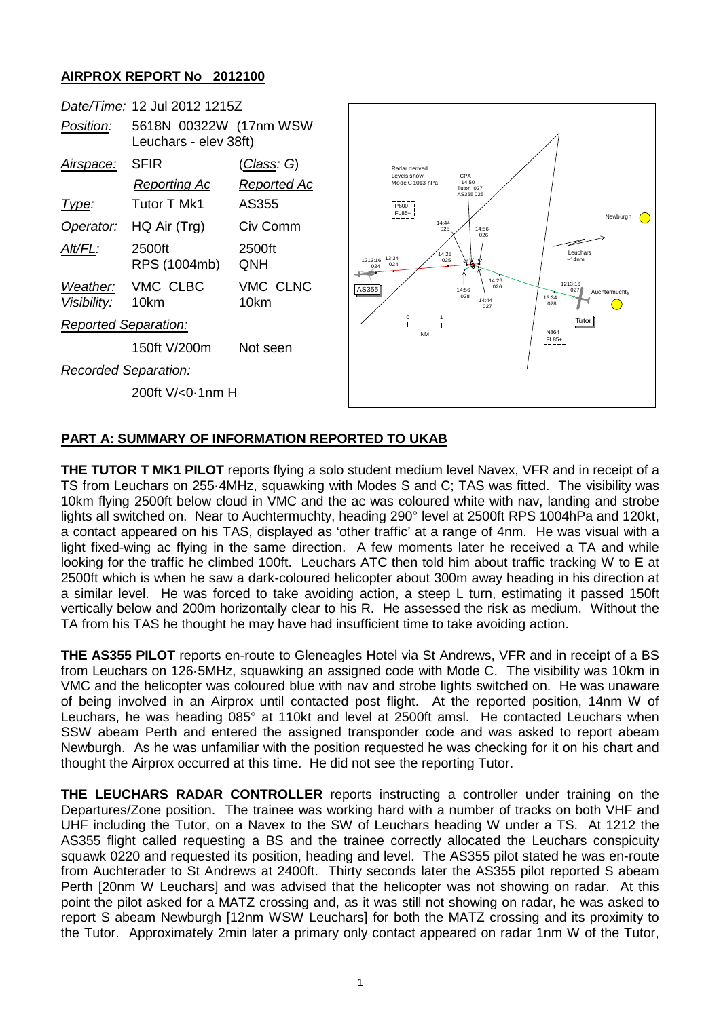## **AIRPROX REPORT No 2012100**

|                             | Date/Time: 12 Jul 2012 1215Z                    |                    |
|-----------------------------|-------------------------------------------------|--------------------|
| Position:                   | 5618N 00322W (17nm WSW<br>Leuchars - elev 38ft) |                    |
| <u>Airspace:</u>            | <b>SFIR</b>                                     | <u>(Class</u> : G) |
|                             | <u>Reporting Ac</u>                             | Reported Ac        |
| Type:                       | Tutor T Mk1                                     | AS355              |
|                             | Operator: HQ Air (Trg)                          | Civ Comm           |
| AIt/FL:                     | 2500ft<br>RPS (1004mb)                          | 2500ft<br>QNH      |
| Visibility: 10km            | Weather: VMC CLBC                               | VMC CLNC<br>10km   |
| <b>Reported Separation:</b> |                                                 |                    |
|                             | 150ft V/200m                                    | Not seen           |
| Recorded Separation:        |                                                 |                    |
|                             | 200ft $V/0$ .1nm H                              |                    |



## **PART A: SUMMARY OF INFORMATION REPORTED TO UKAB**

**THE TUTOR T MK1 PILOT** reports flying a solo student medium level Navex, VFR and in receipt of a TS from Leuchars on 255·4MHz, squawking with Modes S and C; TAS was fitted. The visibility was 10km flying 2500ft below cloud in VMC and the ac was coloured white with nav, landing and strobe lights all switched on. Near to Auchtermuchty, heading 290° level at 2500ft RPS 1004hPa and 120kt, a contact appeared on his TAS, displayed as 'other traffic' at a range of 4nm. He was visual with a light fixed-wing ac flying in the same direction. A few moments later he received a TA and while looking for the traffic he climbed 100ft. Leuchars ATC then told him about traffic tracking W to E at 2500ft which is when he saw a dark-coloured helicopter about 300m away heading in his direction at a similar level. He was forced to take avoiding action, a steep L turn, estimating it passed 150ft vertically below and 200m horizontally clear to his R. He assessed the risk as medium. Without the TA from his TAS he thought he may have had insufficient time to take avoiding action.

**THE AS355 PILOT** reports en-route to Gleneagles Hotel via St Andrews, VFR and in receipt of a BS from Leuchars on 126·5MHz, squawking an assigned code with Mode C. The visibility was 10km in VMC and the helicopter was coloured blue with nav and strobe lights switched on. He was unaware of being involved in an Airprox until contacted post flight. At the reported position, 14nm W of Leuchars, he was heading 085° at 110kt and level at 2500ft amsl. He contacted Leuchars when SSW abeam Perth and entered the assigned transponder code and was asked to report abeam Newburgh. As he was unfamiliar with the position requested he was checking for it on his chart and thought the Airprox occurred at this time. He did not see the reporting Tutor.

**THE LEUCHARS RADAR CONTROLLER** reports instructing a controller under training on the Departures/Zone position. The trainee was working hard with a number of tracks on both VHF and UHF including the Tutor, on a Navex to the SW of Leuchars heading W under a TS. At 1212 the AS355 flight called requesting a BS and the trainee correctly allocated the Leuchars conspicuity squawk 0220 and requested its position, heading and level. The AS355 pilot stated he was en-route from Auchterader to St Andrews at 2400ft. Thirty seconds later the AS355 pilot reported S abeam Perth [20nm W Leuchars] and was advised that the helicopter was not showing on radar. At this point the pilot asked for a MATZ crossing and, as it was still not showing on radar, he was asked to report S abeam Newburgh [12nm WSW Leuchars] for both the MATZ crossing and its proximity to the Tutor. Approximately 2min later a primary only contact appeared on radar 1nm W of the Tutor,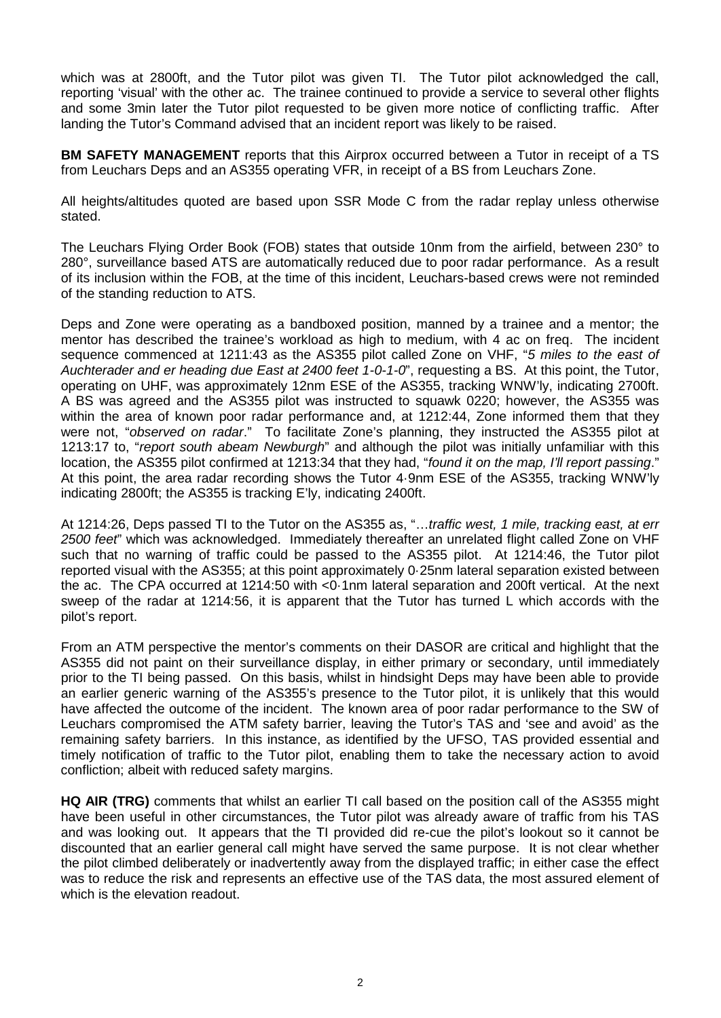which was at 2800ft, and the Tutor pilot was given TI. The Tutor pilot acknowledged the call, reporting 'visual' with the other ac. The trainee continued to provide a service to several other flights and some 3min later the Tutor pilot requested to be given more notice of conflicting traffic. After landing the Tutor's Command advised that an incident report was likely to be raised.

**BM SAFETY MANAGEMENT** reports that this Airprox occurred between a Tutor in receipt of a TS from Leuchars Deps and an AS355 operating VFR, in receipt of a BS from Leuchars Zone.

All heights/altitudes quoted are based upon SSR Mode C from the radar replay unless otherwise stated.

The Leuchars Flying Order Book (FOB) states that outside 10nm from the airfield, between 230° to 280°, surveillance based ATS are automatically reduced due to poor radar performance. As a result of its inclusion within the FOB, at the time of this incident, Leuchars-based crews were not reminded of the standing reduction to ATS.

Deps and Zone were operating as a bandboxed position, manned by a trainee and a mentor; the mentor has described the trainee's workload as high to medium, with 4 ac on freq. The incident sequence commenced at 1211:43 as the AS355 pilot called Zone on VHF, "*5 miles to the east of Auchterader and er heading due East at 2400 feet 1-0-1-0*", requesting a BS. At this point, the Tutor, operating on UHF, was approximately 12nm ESE of the AS355, tracking WNW'ly, indicating 2700ft. A BS was agreed and the AS355 pilot was instructed to squawk 0220; however, the AS355 was within the area of known poor radar performance and, at 1212:44, Zone informed them that they were not, "*observed on radar*." To facilitate Zone's planning, they instructed the AS355 pilot at 1213:17 to, "*report south abeam Newburgh*" and although the pilot was initially unfamiliar with this location, the AS355 pilot confirmed at 1213:34 that they had, "*found it on the map, I'll report passing*." At this point, the area radar recording shows the Tutor 4·9nm ESE of the AS355, tracking WNW'ly indicating 2800ft; the AS355 is tracking E'ly, indicating 2400ft.

At 1214:26, Deps passed TI to the Tutor on the AS355 as, "…*traffic west, 1 mile, tracking east, at err 2500 feet*" which was acknowledged. Immediately thereafter an unrelated flight called Zone on VHF such that no warning of traffic could be passed to the AS355 pilot. At 1214:46, the Tutor pilot reported visual with the AS355; at this point approximately 0·25nm lateral separation existed between the ac. The CPA occurred at 1214:50 with <0·1nm lateral separation and 200ft vertical. At the next sweep of the radar at 1214:56, it is apparent that the Tutor has turned L which accords with the pilot's report.

From an ATM perspective the mentor's comments on their DASOR are critical and highlight that the AS355 did not paint on their surveillance display, in either primary or secondary, until immediately prior to the TI being passed. On this basis, whilst in hindsight Deps may have been able to provide an earlier generic warning of the AS355's presence to the Tutor pilot, it is unlikely that this would have affected the outcome of the incident. The known area of poor radar performance to the SW of Leuchars compromised the ATM safety barrier, leaving the Tutor's TAS and 'see and avoid' as the remaining safety barriers. In this instance, as identified by the UFSO, TAS provided essential and timely notification of traffic to the Tutor pilot, enabling them to take the necessary action to avoid confliction; albeit with reduced safety margins.

**HQ AIR (TRG)** comments that whilst an earlier TI call based on the position call of the AS355 might have been useful in other circumstances, the Tutor pilot was already aware of traffic from his TAS and was looking out. It appears that the TI provided did re-cue the pilot's lookout so it cannot be discounted that an earlier general call might have served the same purpose. It is not clear whether the pilot climbed deliberately or inadvertently away from the displayed traffic; in either case the effect was to reduce the risk and represents an effective use of the TAS data, the most assured element of which is the elevation readout.